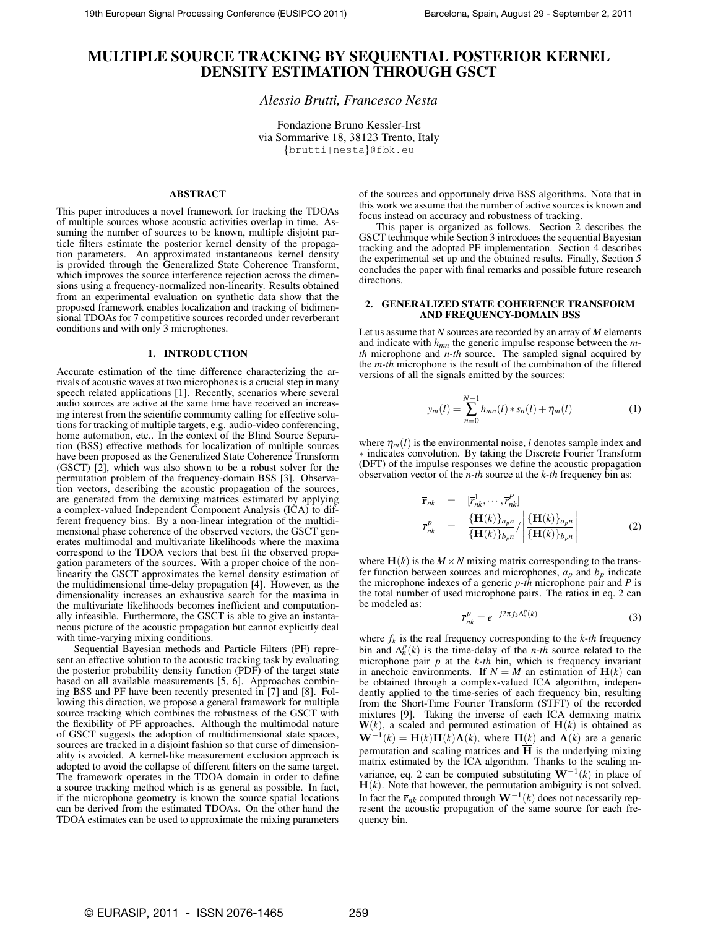# **MULTIPLE SOURCE TRACKING BY SEQUENTIAL POSTERIOR KERNEL DENSITY ESTIMATION THROUGH GSCT**

# *Alessio Brutti, Francesco Nesta*

Fondazione Bruno Kessler-Irst via Sommarive 18, 38123 Trento, Italy {brutti|nesta}@fbk.eu

# **ABSTRACT**

This paper introduces a novel framework for tracking the TDOAs of multiple sources whose acoustic activities overlap in time. Assuming the number of sources to be known, multiple disjoint particle filters estimate the posterior kernel density of the propagation parameters. An approximated instantaneous kernel density is provided through the Generalized State Coherence Transform, which improves the source interference rejection across the dimensions using a frequency-normalized non-linearity. Results obtained from an experimental evaluation on synthetic data show that the proposed framework enables localization and tracking of bidimensional TDOAs for 7 competitive sources recorded under reverberant conditions and with only 3 microphones.

### **1. INTRODUCTION**

Accurate estimation of the time difference characterizing the arrivals of acoustic waves at two microphones is a crucial step in many speech related applications [1]. Recently, scenarios where several audio sources are active at the same time have received an increasing interest from the scientific community calling for effective solutions for tracking of multiple targets, e.g. audio-video conferencing, home automation, etc.. In the context of the Blind Source Separation (BSS) effective methods for localization of multiple sources have been proposed as the Generalized State Coherence Transform (GSCT) [2], which was also shown to be a robust solver for the permutation problem of the frequency-domain BSS [3]. Observation vectors, describing the acoustic propagation of the sources, are generated from the demixing matrices estimated by applying a complex-valued Independent Component Analysis (ICA) to different frequency bins. By a non-linear integration of the multidimensional phase coherence of the observed vectors, the GSCT generates multimodal and multivariate likelihoods where the maxima correspond to the TDOA vectors that best fit the observed propagation parameters of the sources. With a proper choice of the nonlinearity the GSCT approximates the kernel density estimation of the multidimensional time-delay propagation [4]. However, as the dimensionality increases an exhaustive search for the maxima in the multivariate likelihoods becomes inefficient and computationally infeasible. Furthermore, the GSCT is able to give an instantaneous picture of the acoustic propagation but cannot explicitly deal with time-varying mixing conditions.

Sequential Bayesian methods and Particle Filters (PF) represent an effective solution to the acoustic tracking task by evaluating the posterior probability density function (PDF) of the target state based on all available measurements [5, 6]. Approaches combining BSS and PF have been recently presented in [7] and [8]. Following this direction, we propose a general framework for multiple source tracking which combines the robustness of the GSCT with the flexibility of PF approaches. Although the multimodal nature of GSCT suggests the adoption of multidimensional state spaces, sources are tracked in a disjoint fashion so that curse of dimensionality is avoided. A kernel-like measurement exclusion approach is adopted to avoid the collapse of different filters on the same target. The framework operates in the TDOA domain in order to define a source tracking method which is as general as possible. In fact, if the microphone geometry is known the source spatial locations can be derived from the estimated TDOAs. On the other hand the TDOA estimates can be used to approximate the mixing parameters of the sources and opportunely drive BSS algorithms. Note that in this work we assume that the number of active sources is known and focus instead on accuracy and robustness of tracking.

This paper is organized as follows. Section 2 describes the GSCT technique while Section 3 introduces the sequential Bayesian tracking and the adopted PF implementation. Section 4 describes the experimental set up and the obtained results. Finally, Section 5 concludes the paper with final remarks and possible future research directions.

### **2. GENERALIZED STATE COHERENCE TRANSFORM AND FREQUENCY-DOMAIN BSS**

Let us assume that *N* sources are recorded by an array of *M* elements and indicate with *hmn* the generic impulse response between the *mth* microphone and *n-th* source. The sampled signal acquired by the *m-th* microphone is the result of the combination of the filtered versions of all the signals emitted by the sources:

$$
y_m(l) = \sum_{n=0}^{N-1} h_{mn}(l) * s_n(l) + \eta_m(l)
$$
 (1)

where  $\eta_m(l)$  is the environmental noise, *l* denotes sample index and ∗ indicates convolution. By taking the Discrete Fourier Transform (DFT) of the impulse responses we define the acoustic propagation observation vector of the *n-th* source at the *k-th* frequency bin as:

$$
\overline{\mathbf{r}}_{nk} = [\overline{r}_{nk}^1, \cdots, \overline{r}_{nk}^P] \n\overline{r}_{nk}^p = \frac{\{\mathbf{H}(k)\}_{a_p n}}{\{\mathbf{H}(k)\}_{b_p n}} / \frac{\{\mathbf{H}(k)\}_{a_p n}}{\{\mathbf{H}(k)\}_{b_p n}} \qquad (2)
$$

where  $\mathbf{H}(k)$  is the  $M \times N$  mixing matrix corresponding to the transfer function between sources and microphones,  $a_p$  and  $b_p$  indicate the microphone indexes of a generic *p-th* microphone pair and *P* is the total number of used microphone pairs. The ratios in eq. 2 can be modeled as:

$$
\overline{r}_{nk}^p = e^{-j2\pi f_k \Delta_n^p(k)} \tag{3}
$$

where  $f_k$  is the real frequency corresponding to the  $k$ -th frequency bin and  $\Delta_n^p(k)$  is the time-delay of the *n-th* source related to the microphone pair *p* at the *k-th* bin, which is frequency invariant in anechoic environments. If  $N = M$  an estimation of  $H(k)$  can be obtained through a complex-valued ICA algorithm, independently applied to the time-series of each frequency bin, resulting from the Short-Time Fourier Transform (STFT) of the recorded mixtures [9]. Taking the inverse of each ICA demixing matrix  $W(k)$ , a scaled and permuted estimation of  $H(k)$  is obtained as  $\mathbf{W}^{-1}(k) = \overline{\mathbf{H}}(k)\mathbf{\Pi}(k)\mathbf{\Lambda}(k)$ , where  $\mathbf{\Pi}(k)$  and  $\mathbf{\Lambda}(k)$  are a generic permutation and scaling matrices and  $H$  is the underlying mixing matrix estimated by the ICA algorithm. Thanks to the scaling invariance, eq. 2 can be computed substituting  $W^{-1}(k)$  in place of  $H(k)$ . Note that however, the permutation ambiguity is not solved. In fact the  $\bar{\mathbf{r}}_{nk}$  computed through  $\mathbf{W}^{-1}(k)$  does not necessarily represent the acoustic propagation of the same source for each frequency bin.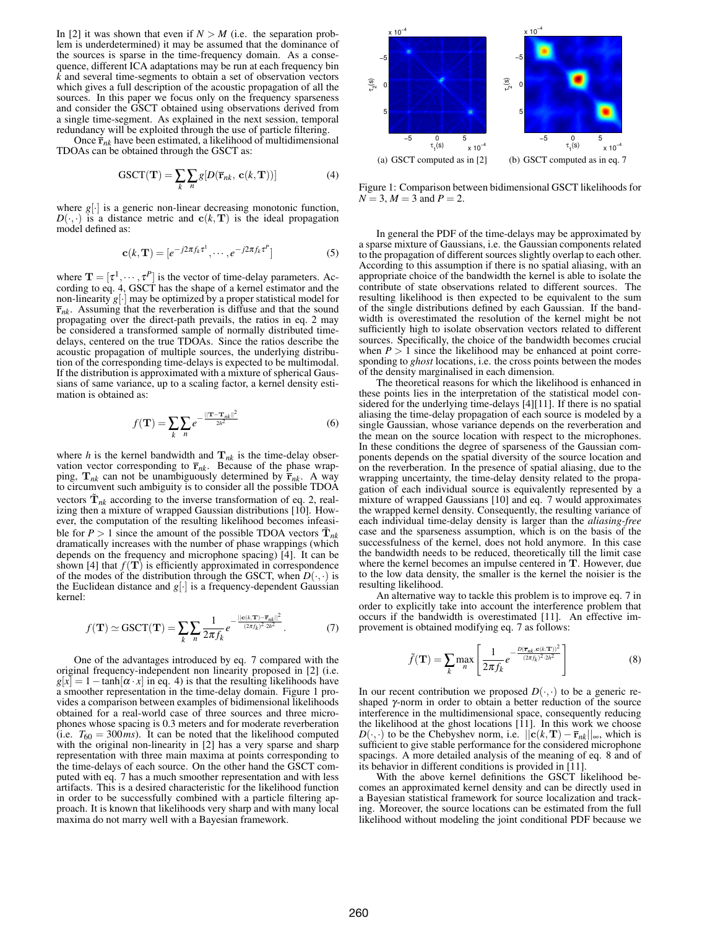In [2] it was shown that even if  $N > M$  (i.e. the separation problem is underdetermined) it may be assumed that the dominance of the sources is sparse in the time-frequency domain. As a consequence, different ICA adaptations may be run at each frequency bin  $\overline{k}$  and several time-segments to obtain a set of observation vectors which gives a full description of the acoustic propagation of all the sources. In this paper we focus only on the frequency sparseness and consider the GSCT obtained using observations derived from a single time-segment. As explained in the next session, temporal redundancy will be exploited through the use of particle filtering.

Once  $\bar{\mathbf{r}}_{nk}$  have been estimated, a likelihood of multidimensional TDOAs can be obtained through the GSCT as:

GSCT(T) = 
$$
\sum_{k} \sum_{n} g[D(\overline{\mathbf{r}}_{nk}, \mathbf{c}(k, \mathbf{T}))]
$$
 (4)

where  $g[\cdot]$  is a generic non-linear decreasing monotonic function.  $D(\cdot, \cdot)$  is a distance metric and  $c(k, T)$  is the ideal propagation model defined as:

$$
\mathbf{c}(k,\mathbf{T}) = [e^{-j2\pi f_k \tau^1}, \cdots, e^{-j2\pi f_k \tau^P}]
$$
 (5)

where  $\mathbf{T} = [\tau^1, \dots, \tau^p]$  is the vector of time-delay parameters. According to eq. 4, GSCT has the shape of a kernel estimator and the non-linearity  $g\left\vert \cdot\right\vert$  may be optimized by a proper statistical model for  $\bar{r}_{nk}$ . Assuming that the reverberation is diffuse and that the sound propagating over the direct-path prevails, the ratios in eq. 2 may be considered a transformed sample of normally distributed timedelays, centered on the true TDOAs. Since the ratios describe the acoustic propagation of multiple sources, the underlying distribution of the corresponding time-delays is expected to be multimodal. If the distribution is approximated with a mixture of spherical Gaussians of same variance, up to a scaling factor, a kernel density estimation is obtained as:

$$
f(\mathbf{T}) = \sum_{k} \sum_{n} e^{-\frac{||\mathbf{T} - \mathbf{T}_{nk}||^2}{2h^2}}
$$
(6)

where *h* is the kernel bandwidth and  $\mathbf{T}_{nk}$  is the time-delay observation vector corresponding to  $\bar{r}_{nk}$ . Because of the phase wrapping,  $\mathbf{T}_{nk}$  can not be unambiguously determined by  $\mathbf{\bar{r}}_{nk}$ . A way to circumvent such ambiguity is to consider all the possible TDOA vectors  $\tilde{\mathbf{T}}_{nk}$  according to the inverse transformation of eq. 2, realizing then a mixture of wrapped Gaussian distributions [10]. However, the computation of the resulting likelihood becomes infeasible for  $P > 1$  since the amount of the possible TDOA vectors  $\tilde{T}_{nk}$ dramatically increases with the number of phase wrappings (which depends on the frequency and microphone spacing) [4]. It can be shown [4] that  $f(\mathbf{T})$  is efficiently approximated in correspondence of the modes of the distribution through the GSCT, when  $D(\cdot, \cdot)$  is the Euclidean distance and  $g[\cdot]$  is a frequency-dependent Gaussian kernel:

$$
f(\mathbf{T}) \simeq \text{GSCT}(\mathbf{T}) = \sum_{k} \sum_{n} \frac{1}{2\pi f_k} e^{-\frac{||\mathbf{c}(k,\mathbf{T}) - \overline{\mathbf{r}}_{n_k||}^2}{(2\pi f_k)^2 \cdot 2h^2}}.
$$
 (7)

One of the advantages introduced by eq. 7 compared with the original frequency-independent non linearity proposed in [2] (i.e.  $g[x] = 1 - \tanh[\alpha \cdot x]$  in eq. 4) is that the resulting likelihoods have a smoother representation in the time-delay domain. Figure 1 provides a comparison between examples of bidimensional likelihoods obtained for a real-world case of three sources and three microphones whose spacing is 0.3 meters and for moderate reverberation (i.e.  $T_{60} = 300 \text{ ms}$ ). It can be noted that the likelihood computed with the original non-linearity in [2] has a very sparse and sharp representation with three main maxima at points corresponding to the time-delays of each source. On the other hand the GSCT computed with eq. 7 has a much smoother representation and with less artifacts. This is a desired characteristic for the likelihood function in order to be successfully combined with a particle filtering approach. It is known that likelihoods very sharp and with many local maxima do not marry well with a Bayesian framework.



Figure 1: Comparison between bidimensional GSCT likelihoods for  $N = 3, M = 3$  and  $P = 2$ .

In general the PDF of the time-delays may be approximated by a sparse mixture of Gaussians, i.e. the Gaussian components related to the propagation of different sources slightly overlap to each other. According to this assumption if there is no spatial aliasing, with an appropriate choice of the bandwidth the kernel is able to isolate the contribute of state observations related to different sources. The resulting likelihood is then expected to be equivalent to the sum of the single distributions defined by each Gaussian. If the bandwidth is overestimated the resolution of the kernel might be not sufficiently high to isolate observation vectors related to different sources. Specifically, the choice of the bandwidth becomes crucial when  $P > 1$  since the likelihood may be enhanced at point corresponding to *ghost* locations, i.e. the cross points between the modes of the density marginalised in each dimension.

The theoretical reasons for which the likelihood is enhanced in these points lies in the interpretation of the statistical model considered for the underlying time-delays [4][11]. If there is no spatial aliasing the time-delay propagation of each source is modeled by a single Gaussian, whose variance depends on the reverberation and the mean on the source location with respect to the microphones. In these conditions the degree of sparseness of the Gaussian components depends on the spatial diversity of the source location and on the reverberation. In the presence of spatial aliasing, due to the wrapping uncertainty, the time-delay density related to the propagation of each individual source is equivalently represented by a mixture of wrapped Gaussians [10] and eq. 7 would approximates the wrapped kernel density. Consequently, the resulting variance of each individual time-delay density is larger than the *aliasing-free* case and the sparseness assumption, which is on the basis of the successfulness of the kernel, does not hold anymore. In this case the bandwidth needs to be reduced, theoretically till the limit case where the kernel becomes an impulse centered in T. However, due to the low data density, the smaller is the kernel the noisier is the resulting likelihood.

An alternative way to tackle this problem is to improve eq. 7 in order to explicitly take into account the interference problem that occurs if the bandwidth is overestimated [11]. An effective improvement is obtained modifying eq. 7 as follows:

$$
\tilde{f}(\mathbf{T}) = \sum_{k} \max_{n} \left[ \frac{1}{2\pi f_k} e^{-\frac{D(\overline{\mathbf{T}}_{nk}, \mathbf{c}(k,\mathbf{T}))^2}{(2\pi f_k)^2 2h^2}} \right]
$$
(8)

In our recent contribution we proposed  $D(\cdot, \cdot)$  to be a generic reshaped γ-norm in order to obtain a better reduction of the source interference in the multidimensional space, consequently reducing the likelihood at the ghost locations  $[11]$ . In this work we choose *D*( $\cdot$ , $\cdot$ ) to be the Chebyshev norm, i.e.  $||c(k,T) - \bar{r}_{nk}||_{\infty}$ , which is sufficient to give stable performance for the considered microphone spacings. A more detailed analysis of the meaning of eq. 8 and of its behavior in different conditions is provided in [11].

With the above kernel definitions the GSCT likelihood becomes an approximated kernel density and can be directly used in a Bayesian statistical framework for source localization and tracking. Moreover, the source locations can be estimated from the full likelihood without modeling the joint conditional PDF because we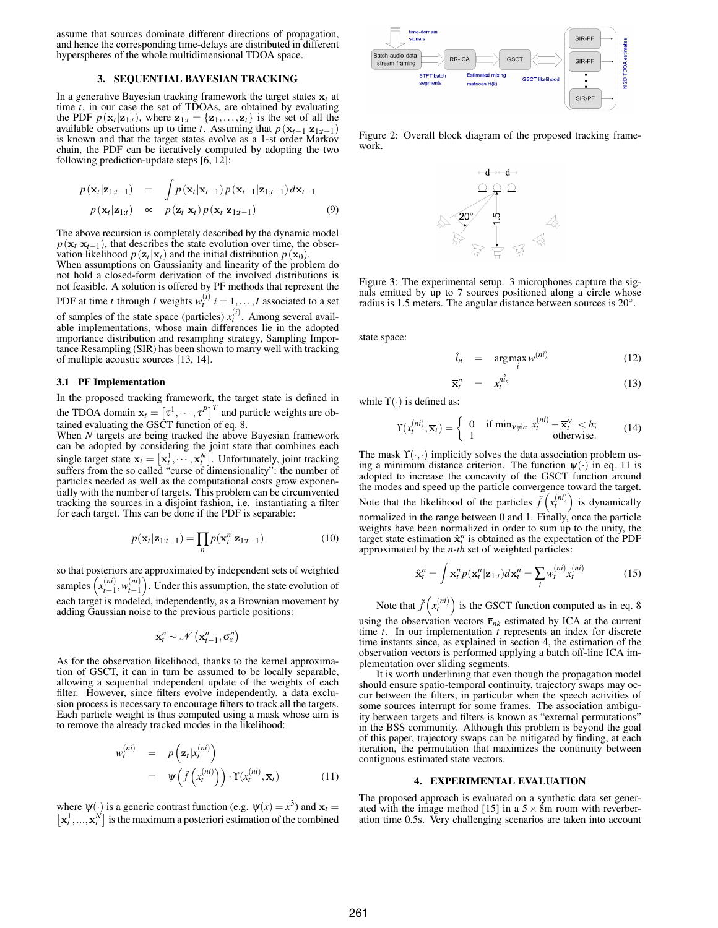assume that sources dominate different directions of propagation, and hence the corresponding time-delays are distributed in different hyperspheres of the whole multidimensional TDOA space.

### **3. SEQUENTIAL BAYESIAN TRACKING**

In a generative Bayesian tracking framework the target states  $x_t$  at time *t*, in our case the set of TDOAs, are obtained by evaluating the PDF  $p(\mathbf{x}_t|\mathbf{z}_{1:t})$ , where  $\mathbf{z}_{1:t} = {\mathbf{z}_1, ..., \mathbf{z}_t}$  is the set of all the available observations up to time *t*. Assuming that  $p(\mathbf{x}_{t-1}|\mathbf{z}_{1:t-1})$ is known and that the target states evolve as a 1-st order Markov chain, the PDF can be iteratively computed by adopting the two following prediction-update steps [6, 12]:

$$
p(\mathbf{x}_t|\mathbf{z}_{1:t-1}) = \int p(\mathbf{x}_t|\mathbf{x}_{t-1}) p(\mathbf{x}_{t-1}|\mathbf{z}_{1:t-1}) d\mathbf{x}_{t-1}
$$
  
\n
$$
p(\mathbf{x}_t|\mathbf{z}_{1:t}) \propto p(\mathbf{z}_t|\mathbf{x}_t) p(\mathbf{x}_t|\mathbf{z}_{1:t-1})
$$
 (9)

The above recursion is completely described by the dynamic model  $p(\mathbf{x}_t | \mathbf{x}_{t-1})$ , that describes the state evolution over time, the observation likelihood  $p(\mathbf{z}_t|\mathbf{x}_t)$  and the initial distribution  $p(\mathbf{x}_0)$ .

When assumptions on Gaussianity and linearity of the problem do not hold a closed-form derivation of the involved distributions is not feasible. A solution is offered by PF methods that represent the PDF at time *t* through *I* weights  $w_t^{(i)}$   $i = 1,...,I$  associated to a set of samples of the state space (particles)  $x_t^{(i)}$ . Among several available implementations, whose main differences lie in the adopted importance distribution and resampling strategy, Sampling Importance Resampling (SIR) has been shown to marry well with tracking of multiple acoustic sources [13, 14].

### **3.1 PF Implementation**

In the proposed tracking framework, the target state is defined in the TDOA domain  $\mathbf{x}_t = \begin{bmatrix} \tau^1, \cdots, \tau^P \end{bmatrix}^T$  and particle weights are obtained evaluating the GSCT function of eq. 8.

When *N* targets are being tracked the above Bayesian framework can be adopted by considering the joint state that combines each single target state  $\mathbf{x}_t = [\mathbf{x}_t^1, \dots, \mathbf{x}_t^N]$ . Unfortunately, joint tracking suffers from the so called "curse of dimensionality": the number of particles needed as well as the computational costs grow exponentially with the number of targets. This problem can be circumvented tracking the sources in a disjoint fashion, i.e. instantiating a filter for each target. This can be done if the PDF is separable:

$$
p(\mathbf{x}_t|\mathbf{z}_{1:t-1}) = \prod_n p(\mathbf{x}_t^n|\mathbf{z}_{1:t-1})
$$
\n(10)

so that posteriors are approximated by independent sets of weighted samples  $\left(x_{t-1}^{(ni)}, w_{t-1}^{(ni)}\right)$ . Under this assumption, the state evolution of each target is modeled, independently, as a Brownian movement by adding Gaussian noise to the previous particle positions:

$$
\mathbf{x}_t^n \sim \mathcal{N}\left(\mathbf{x}_{t-1}^n, \sigma_x^n\right)
$$

As for the observation likelihood, thanks to the kernel approximation of GSCT, it can in turn be assumed to be locally separable, allowing a sequential independent update of the weights of each filter. However, since filters evolve independently, a data exclusion process is necessary to encourage filters to track all the targets. Each particle weight is thus computed using a mask whose aim is to remove the already tracked modes in the likelihood:

$$
w_t^{(ni)} = p\left(\mathbf{z}_t | x_t^{(ni)}\right)
$$
  
=  $\psi\left(\tilde{f}\left(x_t^{(ni)}\right)\right) \cdot \Upsilon(x_t^{(ni)}, \overline{\mathbf{x}}_t)$  (11)

where  $\psi(\cdot)$  is a generic contrast function (e.g.  $\psi(x) = x^3$ ) and  $\overline{\mathbf{x}}_t =$  $\left[ \overline{\mathbf{x}}_t^1, ..., \overline{\mathbf{x}}_t^N \right]$  is the maximum a posteriori estimation of the combined



Figure 2: Overall block diagram of the proposed tracking framework.



Figure 3: The experimental setup. 3 microphones capture the signals emitted by up to 7 sources positioned along a circle whose radius is 1.5 meters. The angular distance between sources is 20◦ .

state space:

$$
\hat{i}_n = \arg \max_i w^{(ni)} \tag{12}
$$

$$
\overline{\mathbf{x}}_t^n = x_t^{n\hat{i}_n} \tag{13}
$$

while  $\Upsilon(\cdot)$  is defined as:

$$
\Upsilon(x_t^{(ni)}, \overline{\mathbf{x}}_t) = \begin{cases} 0 & \text{if } \min_{\mathbf{v} \neq n} |x_t^{(ni)} - \overline{\mathbf{x}}_t^{\mathbf{v}}| < h; \\ 1 & \text{otherwise.} \end{cases} \tag{14}
$$

The mask  $\Upsilon(\cdot,\cdot)$  implicitly solves the data association problem using a minimum distance criterion. The function  $\psi(\cdot)$  in eq. 11 is adopted to increase the concavity of the GSCT function around the modes and speed up the particle convergence toward the target. Note that the likelihood of the particles  $\tilde{f}(x_t^{(ni)})$  is dynamically normalized in the range between 0 and 1. Finally, once the particle weights have been normalized in order to sum up to the unity, the target state estimation  $\hat{\mathbf{x}}_t^n$  is obtained as the expectation of the PDF approximated by the *n-th* set of weighted particles:

$$
\hat{\mathbf{x}}_t^n = \int \mathbf{x}_t^n p(\mathbf{x}_t^n | \mathbf{z}_{1:t}) d\mathbf{x}_t^n = \sum_i w_t^{(ni)} x_t^{(ni)}
$$
(15)

Note that  $\tilde{f}(x_t^{(ni)})$  is the GSCT function computed as in eq. 8 using the observation vectors  $\bar{\mathbf{r}}_{nk}$  estimated by ICA at the current time *t*. In our implementation *t* represents an index for discrete time instants since, as explained in section 4, the estimation of the observation vectors is performed applying a batch off-line ICA implementation over sliding segments.

It is worth underlining that even though the propagation model should ensure spatio-temporal continuity, trajectory swaps may occur between the filters, in particular when the speech activities of some sources interrupt for some frames. The association ambiguity between targets and filters is known as "external permutations" in the BSS community. Although this problem is beyond the goal of this paper, trajectory swaps can be mitigated by finding, at each iteration, the permutation that maximizes the continuity between contiguous estimated state vectors.

#### **4. EXPERIMENTAL EVALUATION**

The proposed approach is evaluated on a synthetic data set generated with the image method [15] in a  $5 \times 8$ m room with reverberation time 0.5s. Very challenging scenarios are taken into account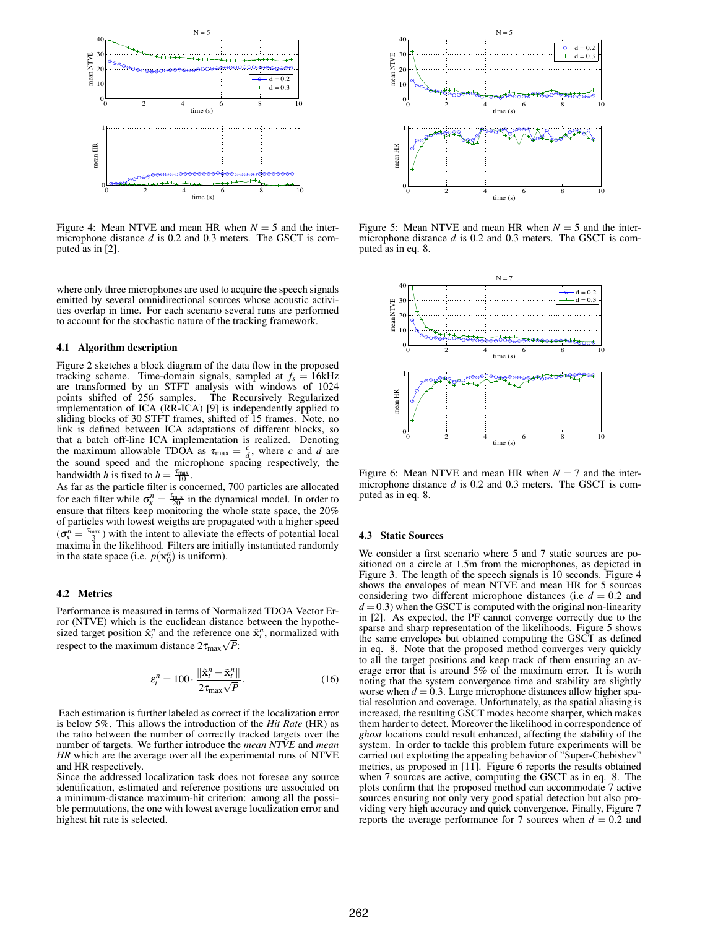

Figure 4: Mean NTVE and mean HR when  $N = 5$  and the intermicrophone distance *d* is 0.2 and 0.3 meters. The GSCT is computed as in [2].

where only three microphones are used to acquire the speech signals emitted by several omnidirectional sources whose acoustic activities overlap in time. For each scenario several runs are performed to account for the stochastic nature of the tracking framework.

### **4.1 Algorithm description**

Figure 2 sketches a block diagram of the data flow in the proposed tracking scheme. Time-domain signals, sampled at  $f_s = 16kHz$ are transformed by an STFT analysis with windows of 1024 points shifted of 256 samples. The Recursively Regularized implementation of ICA (RR-ICA) [9] is independently applied to sliding blocks of 30 STFT frames, shifted of 15 frames. Note, no link is defined between ICA adaptations of different blocks, so that a batch off-line ICA implementation is realized. Denoting the maximum allowable TDOA as  $\tau_{\text{max}} = \frac{c}{d}$ , where *c* and *d* are the sound speed and the microphone spacing respectively, the bandwidth *h* is fixed to  $h = \frac{\tau_{\text{max}}}{10}$ .

As far as the particle filter is concerned, 700 particles are allocated for each filter while  $\sigma_x^n = \frac{\tau_{\text{max}}}{20}$  in the dynamical model. In order to ensure that filters keep monitoring the whole state space, the 20% of particles with lowest weigths are propagated with a higher speed  $(\sigma_x^n = \frac{\tau_{\text{max}}}{3})$  with the intent to alleviate the effects of potential local maxima in the likelihood. Filters are initially instantiated randomly in the state space (i.e.  $p(\mathbf{x}_0^n)$  is uniform).

# **4.2 Metrics**

Performance is measured in terms of Normalized TDOA Vector Error (NTVE) which is the euclidean distance between the hypothesized target position  $\hat{\mathbf{x}}_t^n$  and the reference one  $\tilde{\mathbf{x}}_t^n$ , normalized with respect to the maximum distance  $2\tau_{\text{max}}\sqrt{P}$ :

$$
\varepsilon_t^n = 100 \cdot \frac{\|\hat{\mathbf{x}}_t^n - \tilde{\mathbf{x}}_t^n\|}{2\tau_{\text{max}}\sqrt{P}}.\tag{16}
$$

Each estimation is further labeled as correct if the localization error is below 5%. This allows the introduction of the *Hit Rate* (HR) as the ratio between the number of correctly tracked targets over the number of targets. We further introduce the *mean NTVE* and *mean HR* which are the average over all the experimental runs of NTVE and HR respectively.

Since the addressed localization task does not foresee any source identification, estimated and reference positions are associated on a minimum-distance maximum-hit criterion: among all the possible permutations, the one with lowest average localization error and highest hit rate is selected.



Figure 5: Mean NTVE and mean HR when  $N = 5$  and the intermicrophone distance *d* is 0.2 and 0.3 meters. The GSCT is computed as in eq. 8.



Figure 6: Mean NTVE and mean HR when  $N = 7$  and the intermicrophone distance *d* is 0.2 and 0.3 meters. The GSCT is computed as in eq. 8.

### **4.3 Static Sources**

We consider a first scenario where 5 and 7 static sources are positioned on a circle at 1.5m from the microphones, as depicted in Figure 3. The length of the speech signals is 10 seconds. Figure 4 shows the envelopes of mean NTVE and mean HR for 5 sources considering two different microphone distances (i.e  $d = 0.2$  and  $d = 0.3$ ) when the GSCT is computed with the original non-linearity in [2]. As expected, the PF cannot converge correctly due to the sparse and sharp representation of the likelihoods. Figure 5 shows the same envelopes but obtained computing the GSCT as defined in eq. 8. Note that the proposed method converges very quickly to all the target positions and keep track of them ensuring an average error that is around 5% of the maximum error. It is worth noting that the system convergence time and stability are slightly worse when  $d = 0.3$ . Large microphone distances allow higher spatial resolution and coverage. Unfortunately, as the spatial aliasing is increased, the resulting GSCT modes become sharper, which makes them harder to detect. Moreover the likelihood in correspondence of *ghost* locations could result enhanced, affecting the stability of the system. In order to tackle this problem future experiments will be carried out exploiting the appealing behavior of "Super-Chebishev" metrics, as proposed in [11]. Figure 6 reports the results obtained when 7 sources are active, computing the GSCT as in eq. 8. The plots confirm that the proposed method can accommodate 7 active sources ensuring not only very good spatial detection but also providing very high accuracy and quick convergence. Finally, Figure 7 reports the average performance for 7 sources when  $d = 0.2$  and